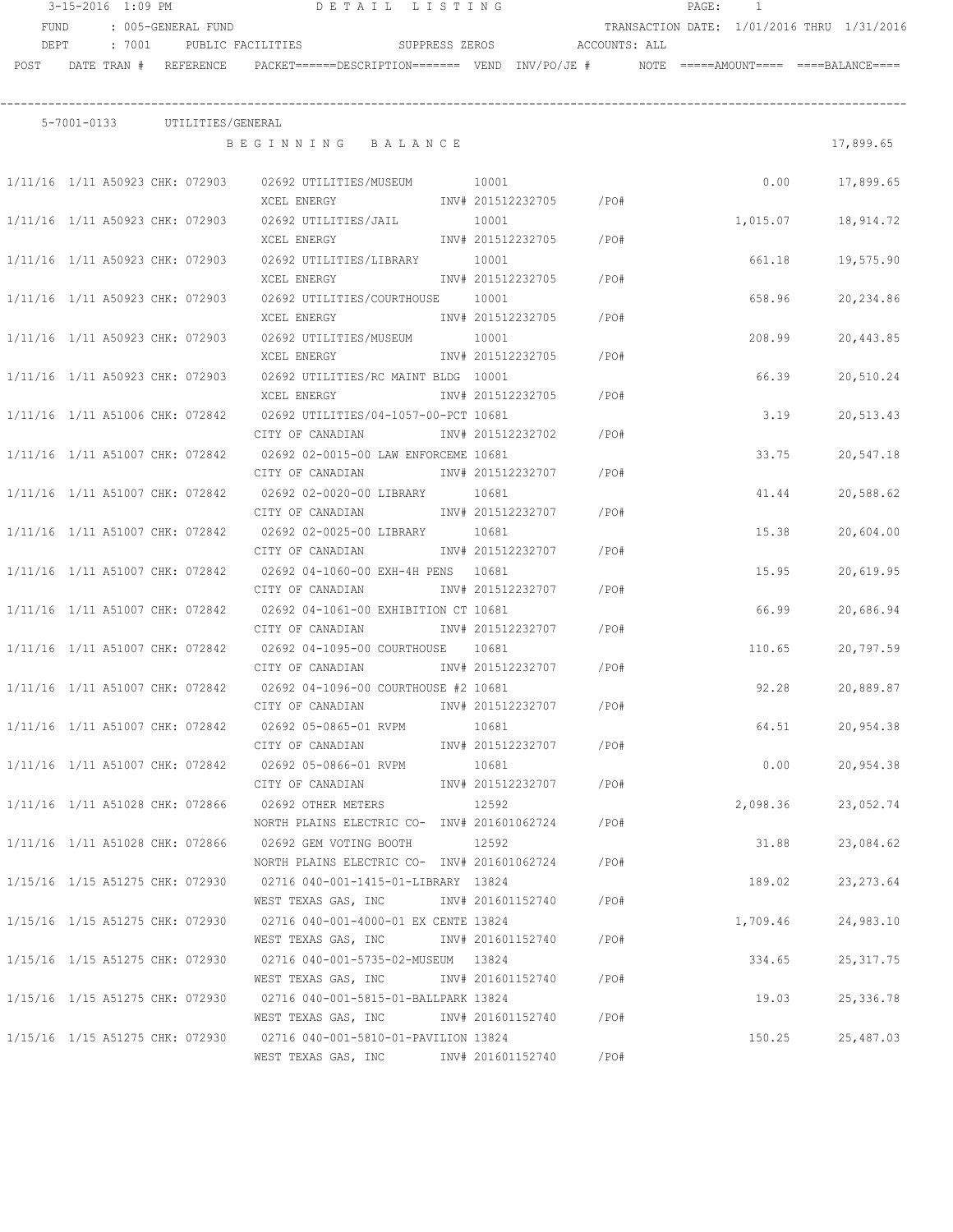|                                   | 3-15-2016 1:09 PM               |  | DETAIL LISTING                                                                                                      |                   |                        | PAGE: | $\mathbf{1}$                               |            |
|-----------------------------------|---------------------------------|--|---------------------------------------------------------------------------------------------------------------------|-------------------|------------------------|-------|--------------------------------------------|------------|
| <b>FUND</b><br>: 005-GENERAL FUND |                                 |  |                                                                                                                     |                   |                        |       | TRANSACTION DATE: 1/01/2016 THRU 1/31/2016 |            |
| DEPT                              | : 7001                          |  | SUPPRESS ZEROS ACCOUNTS: ALL<br>PUBLIC FACILITIES                                                                   |                   |                        |       |                                            |            |
| POST                              | DATE TRAN # REFERENCE           |  | PACKET======DESCRIPTION======= VEND INV/PO/JE # NOTE =====AMOUNT==== ====BALANCE====                                |                   |                        |       |                                            |            |
|                                   |                                 |  |                                                                                                                     |                   |                        |       |                                            |            |
|                                   | 5-7001-0133 UTILITIES/GENERAL   |  |                                                                                                                     |                   |                        |       |                                            |            |
|                                   |                                 |  | BEGINNING BALANCE                                                                                                   |                   |                        |       |                                            | 17,899.65  |
|                                   |                                 |  |                                                                                                                     |                   |                        |       |                                            |            |
|                                   |                                 |  | 1/11/16 1/11 A50923 CHK: 072903 02692 UTILITIES/MUSEUM 10001                                                        |                   |                        |       | 0.00                                       | 17,899.65  |
|                                   |                                 |  | XCEL ENERGY                                                                                                         |                   | INV# 201512232705 /PO# |       |                                            |            |
|                                   |                                 |  | 1/11/16 1/11 A50923 CHK: 072903 02692 UTILITIES/JAIL 10001                                                          |                   |                        |       | 1,015.07                                   | 18,914.72  |
|                                   |                                 |  | XCEL ENERGY                                                                                                         |                   | INV# 201512232705 /PO# |       |                                            |            |
|                                   |                                 |  | 1/11/16 1/11 A50923 CHK: 072903 02692 UTILITIES/LIBRARY 10001                                                       |                   |                        |       | 661.18                                     | 19,575.90  |
|                                   |                                 |  | XCEL ENERGY 1NV# 201512232705 /PO#                                                                                  |                   |                        |       |                                            |            |
|                                   | 1/11/16 1/11 A50923 CHK: 072903 |  | 02692 UTILITIES/COURTHOUSE 10001                                                                                    |                   |                        |       | 658.96                                     | 20,234.86  |
|                                   |                                 |  | XCEL ENERGY 1NV# 201512232705                                                                                       |                   | $/$ PO#                |       |                                            |            |
|                                   | 1/11/16 1/11 A50923 CHK: 072903 |  | 02692 UTILITIES/MUSEUM 10001                                                                                        |                   |                        |       | 208.99                                     | 20,443.85  |
|                                   |                                 |  | XCEL ENERGY                                                                                                         | INV# 201512232705 | /PO#                   |       |                                            |            |
|                                   | 1/11/16 1/11 A50923 CHK: 072903 |  | 02692 UTILITIES/RC MAINT BLDG 10001                                                                                 |                   |                        |       | 66.39                                      | 20,510.24  |
|                                   |                                 |  | XCEL ENERGY                                                                                                         | INV# 201512232705 | $/$ PO#                |       |                                            |            |
|                                   |                                 |  | 1/11/16 1/11 A51006 CHK: 072842 02692 UTILITIES/04-1057-00-PCT 10681<br>CITY OF CANADIAN                            | INV# 201512232702 | /PO#                   |       | 3.19                                       | 20,513.43  |
|                                   | 1/11/16 1/11 A51007 CHK: 072842 |  | 02692 02-0015-00 LAW ENFORCEME 10681                                                                                |                   |                        |       | 33.75                                      | 20,547.18  |
|                                   |                                 |  | CITY OF CANADIAN                                                                                                    | INV# 201512232707 | /PO#                   |       |                                            |            |
|                                   |                                 |  |                                                                                                                     | 10681             |                        |       | 41.44                                      | 20,588.62  |
|                                   |                                 |  | CITY OF CANADIAN                                                                                                    | INV# 201512232707 | /PO#                   |       |                                            |            |
|                                   |                                 |  | 1/11/16  1/11  A51007  CHK:  072842   02692  02-0025-00  LIBRARY                                                    | 10681             |                        |       | 15.38                                      | 20,604.00  |
|                                   |                                 |  | CITY OF CANADIAN                                                                                                    | INV# 201512232707 | /PO#                   |       |                                            |            |
|                                   |                                 |  | 1/11/16 1/11 A51007 CHK: 072842 02692 04-1060-00 EXH-4H PENS 10681                                                  |                   |                        |       | 15.95                                      | 20,619.95  |
|                                   |                                 |  | CITY OF CANADIAN                                                                                                    | INV# 201512232707 | /PO#                   |       |                                            |            |
|                                   |                                 |  | 1/11/16 1/11 A51007 CHK: 072842 02692 04-1061-00 EXHIBITION CT 10681                                                |                   |                        |       | 66.99                                      | 20,686.94  |
|                                   |                                 |  | CITY OF CANADIAN MW# 201512232707                                                                                   |                   | /PO#                   |       |                                            |            |
|                                   |                                 |  | 1/11/16 1/11 A51007 CHK: 072842 02692 04-1095-00 COURTHOUSE 10681                                                   |                   |                        |       | 110.65                                     | 20,797.59  |
|                                   |                                 |  | CITY OF CANADIAN METALLY 1NV# 201512232707                                                                          |                   | /PO#                   |       |                                            |            |
|                                   | 1/11/16 1/11 A51007 CHK: 072842 |  | 02692 04-1096-00 COURTHOUSE #2 10681                                                                                |                   |                        |       | 92.28                                      | 20,889.87  |
|                                   |                                 |  | CITY OF CANADIAN                                                                                                    |                   | INV# 201512232707 /PO# |       |                                            |            |
|                                   |                                 |  | 1/11/16  1/11  A51007  CHK:  072842   02692  05-0865-01   RVPM                                                      | 10681             |                        |       | 64.51                                      | 20,954.38  |
|                                   |                                 |  | CITY OF CANADIAN                                                                                                    |                   | INV# 201512232707 /PO# |       |                                            |            |
|                                   |                                 |  | 1/11/16  1/11  A51007  CHK: 072842   02692  05-0866-01   RVPM                                                       | 10681             |                        |       | 0.00                                       | 20,954.38  |
|                                   |                                 |  | CITY OF CANADIAN MARY 1001512232707 / PO#                                                                           |                   |                        |       |                                            |            |
|                                   |                                 |  | 1/11/16 1/11 A51028 CHK: 072866 02692 OTHER METERS                                                                  | 12592             |                        |       | 2,098.36                                   | 23,052.74  |
|                                   |                                 |  | NORTH PLAINS ELECTRIC CO- INV# 201601062724 / PO#                                                                   |                   |                        |       |                                            |            |
|                                   |                                 |  | 1/11/16 1/11 A51028 CHK: 072866 02692 GEM VOTING BOOTH                                                              | 12592             |                        |       | 31.88                                      | 23,084.62  |
|                                   |                                 |  | NORTH PLAINS ELECTRIC CO- INV# 201601062724                                                                         |                   | /PO#                   |       |                                            |            |
|                                   |                                 |  | 1/15/16 1/15 A51275 CHK: 072930 02716 040-001-1415-01-LIBRARY 13824                                                 |                   |                        |       | 189.02                                     | 23, 273.64 |
|                                   |                                 |  | WEST TEXAS GAS, INC MONTH 201601152740                                                                              |                   | $/$ PO#                |       |                                            |            |
|                                   |                                 |  | 1/15/16 1/15 A51275 CHK: 072930 02716 040-001-4000-01 EX CENTE 13824                                                |                   |                        |       | 1,709.46                                   | 24,983.10  |
|                                   |                                 |  | WEST TEXAS GAS, INC MONTH 201601152740 / PO#                                                                        |                   |                        |       |                                            |            |
|                                   |                                 |  | 1/15/16 1/15 A51275 CHK: 072930 02716 040-001-5735-02-MUSEUM 13824                                                  |                   |                        |       | 334.65                                     | 25, 317.75 |
|                                   |                                 |  | WEST TEXAS GAS, INC MOV# 201601152740 / PO#                                                                         |                   |                        |       |                                            |            |
|                                   |                                 |  | 1/15/16 1/15 A51275 CHK: 072930 02716 040-001-5815-01-BALLPARK 13824<br>WEST TEXAS GAS, INC MOV# 201601152740 / PO# |                   |                        |       | 19.03                                      | 25,336.78  |
|                                   |                                 |  | 1/15/16 1/15 A51275 CHK: 072930 02716 040-001-5810-01-PAVILION 13824                                                |                   |                        |       | 150.25                                     | 25,487.03  |
|                                   |                                 |  | WEST TEXAS GAS, INC METALL 201601152740                                                                             |                   | /PO#                   |       |                                            |            |
|                                   |                                 |  |                                                                                                                     |                   |                        |       |                                            |            |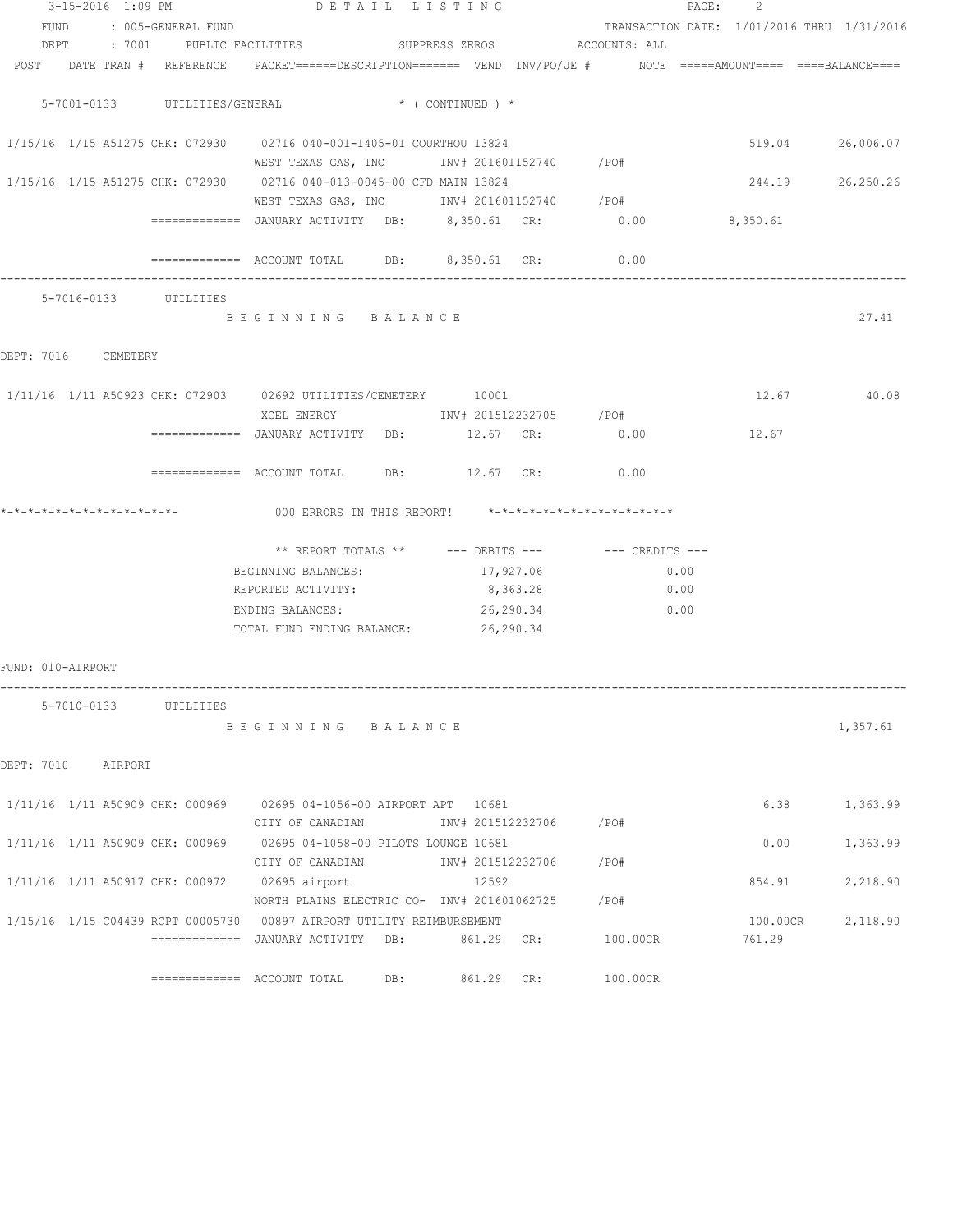|                   |                                 |                                 | 3-15-2016 1:09 PM DETAIL LISTING                                                                                |                   |     |                                            | PAGE:<br>$2^{\circ}$ |                  |
|-------------------|---------------------------------|---------------------------------|-----------------------------------------------------------------------------------------------------------------|-------------------|-----|--------------------------------------------|----------------------|------------------|
|                   |                                 | FUND : 005-GENERAL FUND         |                                                                                                                 |                   |     | TRANSACTION DATE: 1/01/2016 THRU 1/31/2016 |                      |                  |
|                   |                                 |                                 | DEPT : 7001 PUBLIC FACILITIES SUPPRESS ZEROS ACCOUNTS: ALL                                                      |                   |     |                                            |                      |                  |
|                   |                                 |                                 | POST DATE TRAN # REFERENCE PACKET======DESCRIPTION======= VEND INV/PO/JE # NOTE =====AMOUNT==== ====BALANCE==== |                   |     |                                            |                      |                  |
|                   |                                 |                                 | 5-7001-0133 UTILITIES/GENERAL * (CONTINUED) *                                                                   |                   |     |                                            |                      |                  |
|                   |                                 |                                 |                                                                                                                 |                   |     |                                            |                      |                  |
|                   |                                 |                                 | 1/15/16 1/15 A51275 CHK: 072930 02716 040-001-1405-01 COURTHOU 13824                                            |                   |     |                                            |                      | 519.04 26,006.07 |
|                   |                                 |                                 | WEST TEXAS GAS, INC MOTH 201601152740 / PO#                                                                     |                   |     |                                            |                      |                  |
|                   |                                 |                                 | 1/15/16 1/15 A51275 CHK: 072930 02716 040-013-0045-00 CFD MAIN 13824                                            |                   |     |                                            |                      | 244.19 26,250.26 |
|                   |                                 |                                 | WEST TEXAS GAS, INC 1NV# 201601152740 / PO#                                                                     |                   |     |                                            |                      |                  |
|                   |                                 |                                 | ============= JANUARY ACTIVITY DB: 8,350.61 CR: 0.00 8,350.61                                                   |                   |     |                                            |                      |                  |
|                   |                                 |                                 | $\overline{\phantom{1}}$ ============= ACCOUNT TOTAL DB: $\phantom{1}8,350.61$ CR: 0.00                         |                   |     |                                            |                      |                  |
|                   |                                 | 5-7016-0133 UTILITIES           |                                                                                                                 |                   |     |                                            |                      |                  |
|                   |                                 |                                 | BEGINNING BALANCE                                                                                               |                   |     |                                            |                      | 27.41            |
|                   | DEPT: 7016 CEMETERY             |                                 |                                                                                                                 |                   |     |                                            |                      |                  |
|                   |                                 |                                 | 1/11/16 1/11 A50923 CHK: 072903 02692 UTILITIES/CEMETERY 10001                                                  |                   |     |                                            |                      | 12.67 40.08      |
|                   |                                 |                                 |                                                                                                                 |                   |     |                                            |                      |                  |
|                   |                                 |                                 | ============= JANUARY ACTIVITY DB: 12.67 CR: 0.00 12.67                                                         |                   |     |                                            |                      |                  |
|                   |                                 |                                 |                                                                                                                 |                   |     |                                            |                      |                  |
|                   |                                 |                                 | $\texttt{-----}$ =========== ACCOUNT TOTAL DB: $12.67$ CR: 0.00                                                 |                   |     |                                            |                      |                  |
|                   |                                 |                                 |                                                                                                                 |                   |     |                                            |                      |                  |
|                   |                                 |                                 | ** REPORT TOTALS ** --- DEBITS --- -- -- CREDITS ---                                                            |                   |     |                                            |                      |                  |
|                   |                                 |                                 | BEGINNING BALANCES:                                                                                             | 17,927.06         |     | 0.00                                       |                      |                  |
|                   |                                 |                                 | REPORTED ACTIVITY:                                                                                              | 8,363.28          |     | 0.00                                       |                      |                  |
|                   |                                 |                                 | ENDING BALANCES:                                                                                                | 26,290.34         |     | 0.00                                       |                      |                  |
|                   |                                 |                                 | TOTAL FUND ENDING BALANCE: 26,290.34                                                                            |                   |     |                                            |                      |                  |
| FUND: 010-AIRPORT |                                 |                                 |                                                                                                                 |                   |     |                                            |                      |                  |
|                   | $5 - 7010 - 0133$               | UTILITIES                       |                                                                                                                 |                   |     |                                            |                      |                  |
|                   |                                 |                                 | BEGINNING BALANCE                                                                                               |                   |     |                                            |                      | 1,357.61         |
| DEPT: 7010        | AIRPORT                         |                                 |                                                                                                                 |                   |     |                                            |                      |                  |
|                   |                                 | 1/11/16 1/11 A50909 CHK: 000969 | 02695 04-1056-00 AIRPORT APT 10681                                                                              |                   |     |                                            | 6.38                 | 1,363.99         |
|                   |                                 |                                 | CITY OF CANADIAN                                                                                                | INV# 201512232706 |     | /P0#                                       |                      |                  |
|                   | 1/11/16 1/11 A50909 CHK: 000969 |                                 | 02695 04-1058-00 PILOTS LOUNGE 10681                                                                            |                   |     |                                            | 0.00                 | 1,363.99         |
|                   |                                 |                                 | CITY OF CANADIAN                                                                                                | INV# 201512232706 |     | /PO#                                       |                      |                  |
|                   | 1/11/16 1/11 A50917 CHK: 000972 |                                 | 02695 airport<br>NORTH PLAINS ELECTRIC CO- INV# 201601062725                                                    | 12592             |     | /PO#                                       | 854.91               | 2,218.90         |
|                   |                                 |                                 | 1/15/16 1/15 C04439 RCPT 00005730 00897 AIRPORT UTILITY REIMBURSEMENT                                           |                   |     |                                            | 100.00CR             | 2,118.90         |
|                   |                                 |                                 | ============= JANUARY ACTIVITY<br>DB:                                                                           | 861.29            | CR: | 100.00CR                                   | 761.29               |                  |
|                   |                                 |                                 | $=$ ============ ACCOUNT TOTAL<br>DB:                                                                           | 861.29            | CR: | 100.00CR                                   |                      |                  |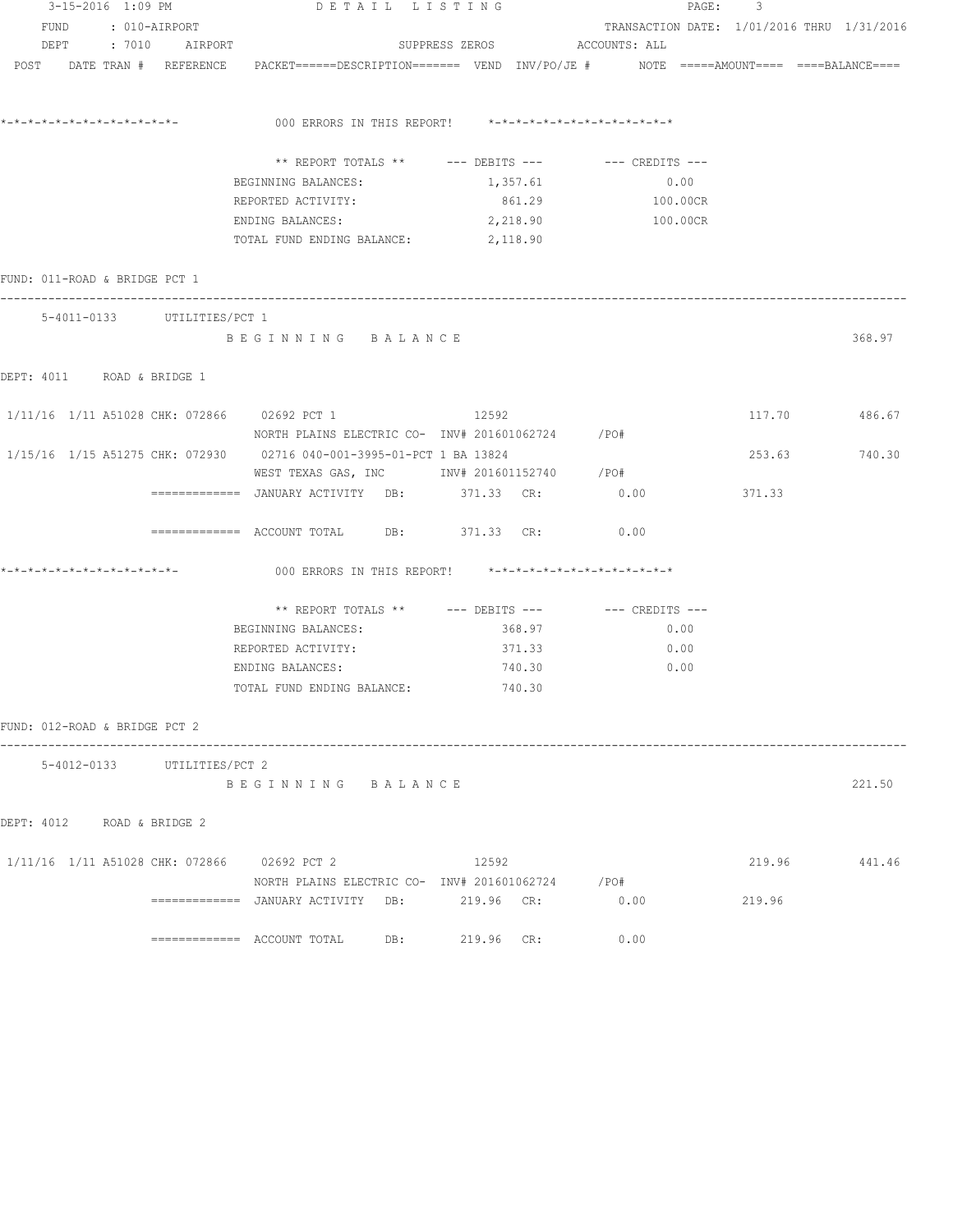| FUND : 010-AIRPORT<br>TRANSACTION DATE: 1/01/2016 THRU 1/31/2016<br>DEPT : 7010 AIRPORT<br>SUPPRESS ZEROS ACCOUNTS: ALL<br>POST DATE TRAN # REFERENCE PACKET======DESCRIPTION======= VEND INV/PO/JE # NOTE =====AMOUNT==== ====BALANCE====<br>000 ERRORS IN THIS REPORT! *-*-*-*-*-*-*-*-*-*-*-*-*-*-<br>** REPORT TOTALS ** --- DEBITS --- -- -- CREDITS ---<br>BEGINNING BALANCES:<br>1,357.61<br>0.00<br>861.29<br>100.00CR<br>REPORTED ACTIVITY:<br>2,218.90<br>ENDING BALANCES:<br>100.00CR<br>TOTAL FUND ENDING BALANCE: 2,118.90<br>FUND: 011-ROAD & BRIDGE PCT 1<br>5-4011-0133 UTILITIES/PCT 1<br>368.97<br>BEGINNING BALANCE<br>DEPT: 4011 ROAD & BRIDGE 1<br>$1/11/16$ 1/11 A51028 CHK: 072866 02692 PCT 1<br>12592<br>117.70<br>486.67<br>NORTH PLAINS ELECTRIC CO- INV# 201601062724 / PO#<br>1/15/16 1/15 A51275 CHK: 072930 02716 040-001-3995-01-PCT 1 BA 13824<br>253.63<br>740.30<br>WEST TEXAS GAS, INC 1NV# 201601152740 / PO#<br>============ JANUARY ACTIVITY DB: 371.33 CR: 0.00<br>371.33<br>============ ACCOUNT TOTAL DB: 371.33 CR: 0.00<br>000 ERRORS IN THIS REPORT! *-*-*-*-*-*-*-*-*-*-*-*-*-*-<br>** REPORT TOTALS ** --- DEBITS --- -- CREDITS ---<br>BEGINNING BALANCES:<br>368.97<br>0.00<br>371.33<br>0.00<br>REPORTED ACTIVITY:<br>740.30<br>0.00<br>ENDING BALANCES:<br>740.30<br>TOTAL FUND ENDING BALANCE:<br>FUND: 012-ROAD & BRIDGE PCT 2<br>5-4012-0133<br>UTILITIES/PCT 2<br>221.50<br>BEGINNING BALANCE<br>DEPT: 4012<br>ROAD & BRIDGE 2<br>1/11/16 1/11 A51028 CHK: 072866 02692 PCT 2<br>12592<br>219.96<br>441.46<br>NORTH PLAINS ELECTRIC CO- INV# 201601062724<br>/PO#<br>0.00<br>219.96<br>=============  JANUARY ACTIVITY   DB:<br>219.96 CR:<br>219.96 CR:<br>0.00 |  |  | 3-15-2016 1:09 PM DETAIL LISTING |  | PAGE: 3 |  |
|-------------------------------------------------------------------------------------------------------------------------------------------------------------------------------------------------------------------------------------------------------------------------------------------------------------------------------------------------------------------------------------------------------------------------------------------------------------------------------------------------------------------------------------------------------------------------------------------------------------------------------------------------------------------------------------------------------------------------------------------------------------------------------------------------------------------------------------------------------------------------------------------------------------------------------------------------------------------------------------------------------------------------------------------------------------------------------------------------------------------------------------------------------------------------------------------------------------------------------------------------------------------------------------------------------------------------------------------------------------------------------------------------------------------------------------------------------------------------------------------------------------------------------------------------------------------------------------------------------------------------------------------------------------------------------------------------------------------------|--|--|----------------------------------|--|---------|--|
|                                                                                                                                                                                                                                                                                                                                                                                                                                                                                                                                                                                                                                                                                                                                                                                                                                                                                                                                                                                                                                                                                                                                                                                                                                                                                                                                                                                                                                                                                                                                                                                                                                                                                                                         |  |  |                                  |  |         |  |
|                                                                                                                                                                                                                                                                                                                                                                                                                                                                                                                                                                                                                                                                                                                                                                                                                                                                                                                                                                                                                                                                                                                                                                                                                                                                                                                                                                                                                                                                                                                                                                                                                                                                                                                         |  |  |                                  |  |         |  |
|                                                                                                                                                                                                                                                                                                                                                                                                                                                                                                                                                                                                                                                                                                                                                                                                                                                                                                                                                                                                                                                                                                                                                                                                                                                                                                                                                                                                                                                                                                                                                                                                                                                                                                                         |  |  |                                  |  |         |  |
|                                                                                                                                                                                                                                                                                                                                                                                                                                                                                                                                                                                                                                                                                                                                                                                                                                                                                                                                                                                                                                                                                                                                                                                                                                                                                                                                                                                                                                                                                                                                                                                                                                                                                                                         |  |  |                                  |  |         |  |
|                                                                                                                                                                                                                                                                                                                                                                                                                                                                                                                                                                                                                                                                                                                                                                                                                                                                                                                                                                                                                                                                                                                                                                                                                                                                                                                                                                                                                                                                                                                                                                                                                                                                                                                         |  |  |                                  |  |         |  |
|                                                                                                                                                                                                                                                                                                                                                                                                                                                                                                                                                                                                                                                                                                                                                                                                                                                                                                                                                                                                                                                                                                                                                                                                                                                                                                                                                                                                                                                                                                                                                                                                                                                                                                                         |  |  |                                  |  |         |  |
|                                                                                                                                                                                                                                                                                                                                                                                                                                                                                                                                                                                                                                                                                                                                                                                                                                                                                                                                                                                                                                                                                                                                                                                                                                                                                                                                                                                                                                                                                                                                                                                                                                                                                                                         |  |  |                                  |  |         |  |
|                                                                                                                                                                                                                                                                                                                                                                                                                                                                                                                                                                                                                                                                                                                                                                                                                                                                                                                                                                                                                                                                                                                                                                                                                                                                                                                                                                                                                                                                                                                                                                                                                                                                                                                         |  |  |                                  |  |         |  |
|                                                                                                                                                                                                                                                                                                                                                                                                                                                                                                                                                                                                                                                                                                                                                                                                                                                                                                                                                                                                                                                                                                                                                                                                                                                                                                                                                                                                                                                                                                                                                                                                                                                                                                                         |  |  |                                  |  |         |  |
|                                                                                                                                                                                                                                                                                                                                                                                                                                                                                                                                                                                                                                                                                                                                                                                                                                                                                                                                                                                                                                                                                                                                                                                                                                                                                                                                                                                                                                                                                                                                                                                                                                                                                                                         |  |  |                                  |  |         |  |
|                                                                                                                                                                                                                                                                                                                                                                                                                                                                                                                                                                                                                                                                                                                                                                                                                                                                                                                                                                                                                                                                                                                                                                                                                                                                                                                                                                                                                                                                                                                                                                                                                                                                                                                         |  |  |                                  |  |         |  |
|                                                                                                                                                                                                                                                                                                                                                                                                                                                                                                                                                                                                                                                                                                                                                                                                                                                                                                                                                                                                                                                                                                                                                                                                                                                                                                                                                                                                                                                                                                                                                                                                                                                                                                                         |  |  |                                  |  |         |  |
|                                                                                                                                                                                                                                                                                                                                                                                                                                                                                                                                                                                                                                                                                                                                                                                                                                                                                                                                                                                                                                                                                                                                                                                                                                                                                                                                                                                                                                                                                                                                                                                                                                                                                                                         |  |  |                                  |  |         |  |
|                                                                                                                                                                                                                                                                                                                                                                                                                                                                                                                                                                                                                                                                                                                                                                                                                                                                                                                                                                                                                                                                                                                                                                                                                                                                                                                                                                                                                                                                                                                                                                                                                                                                                                                         |  |  |                                  |  |         |  |
|                                                                                                                                                                                                                                                                                                                                                                                                                                                                                                                                                                                                                                                                                                                                                                                                                                                                                                                                                                                                                                                                                                                                                                                                                                                                                                                                                                                                                                                                                                                                                                                                                                                                                                                         |  |  |                                  |  |         |  |
|                                                                                                                                                                                                                                                                                                                                                                                                                                                                                                                                                                                                                                                                                                                                                                                                                                                                                                                                                                                                                                                                                                                                                                                                                                                                                                                                                                                                                                                                                                                                                                                                                                                                                                                         |  |  |                                  |  |         |  |
|                                                                                                                                                                                                                                                                                                                                                                                                                                                                                                                                                                                                                                                                                                                                                                                                                                                                                                                                                                                                                                                                                                                                                                                                                                                                                                                                                                                                                                                                                                                                                                                                                                                                                                                         |  |  |                                  |  |         |  |
|                                                                                                                                                                                                                                                                                                                                                                                                                                                                                                                                                                                                                                                                                                                                                                                                                                                                                                                                                                                                                                                                                                                                                                                                                                                                                                                                                                                                                                                                                                                                                                                                                                                                                                                         |  |  |                                  |  |         |  |
|                                                                                                                                                                                                                                                                                                                                                                                                                                                                                                                                                                                                                                                                                                                                                                                                                                                                                                                                                                                                                                                                                                                                                                                                                                                                                                                                                                                                                                                                                                                                                                                                                                                                                                                         |  |  |                                  |  |         |  |
|                                                                                                                                                                                                                                                                                                                                                                                                                                                                                                                                                                                                                                                                                                                                                                                                                                                                                                                                                                                                                                                                                                                                                                                                                                                                                                                                                                                                                                                                                                                                                                                                                                                                                                                         |  |  |                                  |  |         |  |
|                                                                                                                                                                                                                                                                                                                                                                                                                                                                                                                                                                                                                                                                                                                                                                                                                                                                                                                                                                                                                                                                                                                                                                                                                                                                                                                                                                                                                                                                                                                                                                                                                                                                                                                         |  |  |                                  |  |         |  |
|                                                                                                                                                                                                                                                                                                                                                                                                                                                                                                                                                                                                                                                                                                                                                                                                                                                                                                                                                                                                                                                                                                                                                                                                                                                                                                                                                                                                                                                                                                                                                                                                                                                                                                                         |  |  |                                  |  |         |  |
|                                                                                                                                                                                                                                                                                                                                                                                                                                                                                                                                                                                                                                                                                                                                                                                                                                                                                                                                                                                                                                                                                                                                                                                                                                                                                                                                                                                                                                                                                                                                                                                                                                                                                                                         |  |  |                                  |  |         |  |
|                                                                                                                                                                                                                                                                                                                                                                                                                                                                                                                                                                                                                                                                                                                                                                                                                                                                                                                                                                                                                                                                                                                                                                                                                                                                                                                                                                                                                                                                                                                                                                                                                                                                                                                         |  |  |                                  |  |         |  |
|                                                                                                                                                                                                                                                                                                                                                                                                                                                                                                                                                                                                                                                                                                                                                                                                                                                                                                                                                                                                                                                                                                                                                                                                                                                                                                                                                                                                                                                                                                                                                                                                                                                                                                                         |  |  |                                  |  |         |  |
|                                                                                                                                                                                                                                                                                                                                                                                                                                                                                                                                                                                                                                                                                                                                                                                                                                                                                                                                                                                                                                                                                                                                                                                                                                                                                                                                                                                                                                                                                                                                                                                                                                                                                                                         |  |  |                                  |  |         |  |
|                                                                                                                                                                                                                                                                                                                                                                                                                                                                                                                                                                                                                                                                                                                                                                                                                                                                                                                                                                                                                                                                                                                                                                                                                                                                                                                                                                                                                                                                                                                                                                                                                                                                                                                         |  |  |                                  |  |         |  |
|                                                                                                                                                                                                                                                                                                                                                                                                                                                                                                                                                                                                                                                                                                                                                                                                                                                                                                                                                                                                                                                                                                                                                                                                                                                                                                                                                                                                                                                                                                                                                                                                                                                                                                                         |  |  |                                  |  |         |  |
|                                                                                                                                                                                                                                                                                                                                                                                                                                                                                                                                                                                                                                                                                                                                                                                                                                                                                                                                                                                                                                                                                                                                                                                                                                                                                                                                                                                                                                                                                                                                                                                                                                                                                                                         |  |  |                                  |  |         |  |
|                                                                                                                                                                                                                                                                                                                                                                                                                                                                                                                                                                                                                                                                                                                                                                                                                                                                                                                                                                                                                                                                                                                                                                                                                                                                                                                                                                                                                                                                                                                                                                                                                                                                                                                         |  |  |                                  |  |         |  |
|                                                                                                                                                                                                                                                                                                                                                                                                                                                                                                                                                                                                                                                                                                                                                                                                                                                                                                                                                                                                                                                                                                                                                                                                                                                                                                                                                                                                                                                                                                                                                                                                                                                                                                                         |  |  |                                  |  |         |  |
|                                                                                                                                                                                                                                                                                                                                                                                                                                                                                                                                                                                                                                                                                                                                                                                                                                                                                                                                                                                                                                                                                                                                                                                                                                                                                                                                                                                                                                                                                                                                                                                                                                                                                                                         |  |  |                                  |  |         |  |
|                                                                                                                                                                                                                                                                                                                                                                                                                                                                                                                                                                                                                                                                                                                                                                                                                                                                                                                                                                                                                                                                                                                                                                                                                                                                                                                                                                                                                                                                                                                                                                                                                                                                                                                         |  |  |                                  |  |         |  |
|                                                                                                                                                                                                                                                                                                                                                                                                                                                                                                                                                                                                                                                                                                                                                                                                                                                                                                                                                                                                                                                                                                                                                                                                                                                                                                                                                                                                                                                                                                                                                                                                                                                                                                                         |  |  |                                  |  |         |  |
|                                                                                                                                                                                                                                                                                                                                                                                                                                                                                                                                                                                                                                                                                                                                                                                                                                                                                                                                                                                                                                                                                                                                                                                                                                                                                                                                                                                                                                                                                                                                                                                                                                                                                                                         |  |  |                                  |  |         |  |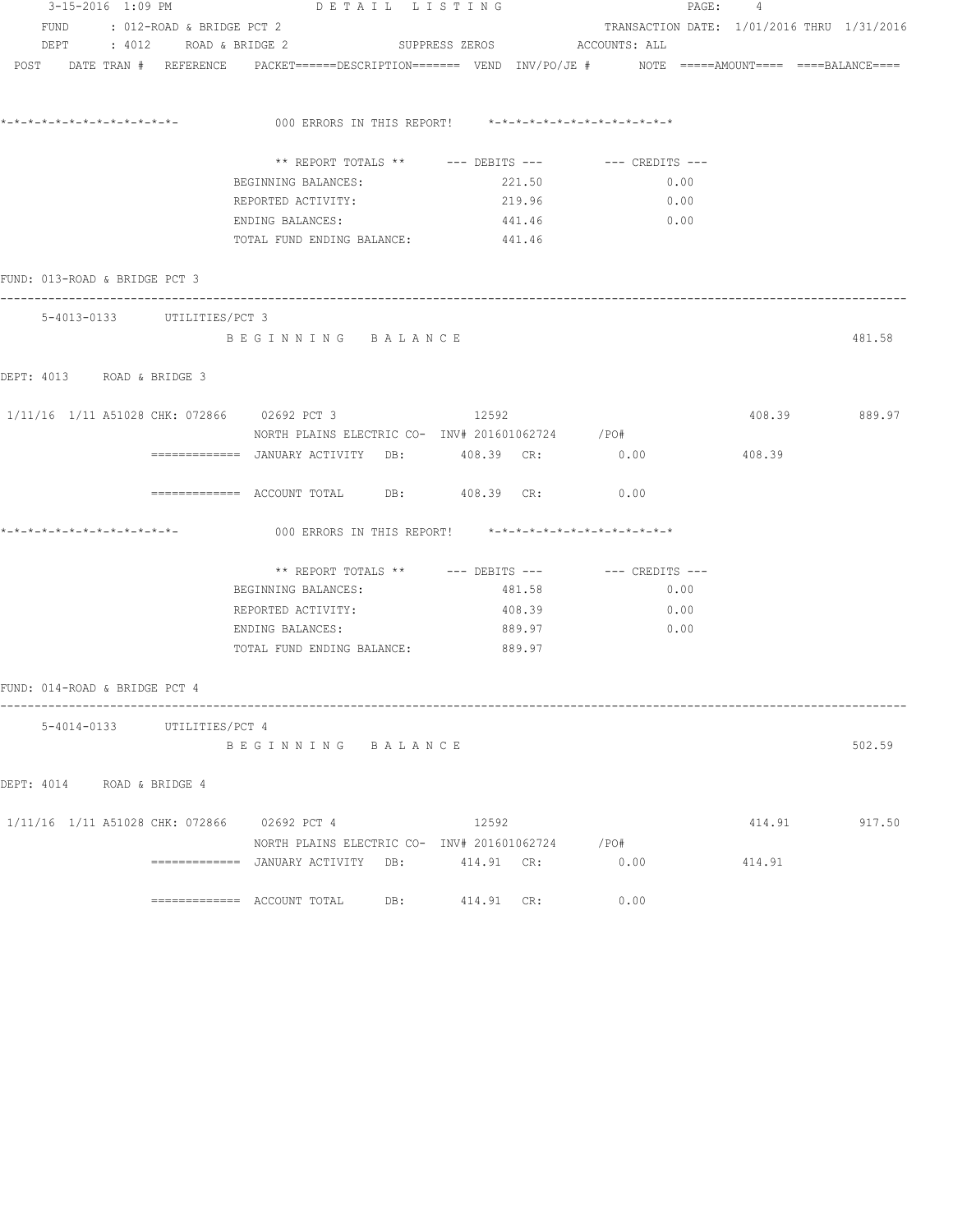| 3-15-2016 1:09 PM              |  |                             |                                                                                                                 | DETAIL LISTING |            |        |                                                      | PAGE: 4 |        |               |
|--------------------------------|--|-----------------------------|-----------------------------------------------------------------------------------------------------------------|----------------|------------|--------|------------------------------------------------------|---------|--------|---------------|
| FUND : 012-ROAD & BRIDGE PCT 2 |  |                             |                                                                                                                 |                |            |        | TRANSACTION DATE: 1/01/2016 THRU 1/31/2016           |         |        |               |
|                                |  |                             | DEPT : 4012 ROAD & BRIDGE 2 SUPPRESS ZEROS ACCOUNTS: ALL                                                        |                |            |        |                                                      |         |        |               |
|                                |  |                             | POST DATE TRAN # REFERENCE PACKET======DESCRIPTION======= VEND INV/PO/JE # NOTE =====AMOUNT==== ====BALANCE==== |                |            |        |                                                      |         |        |               |
|                                |  |                             |                                                                                                                 |                |            |        |                                                      |         |        |               |
|                                |  |                             | 000 ERRORS IN THIS REPORT! $*-*-*-*-*-*-*-*-*-*-*-*-*-*-**$                                                     |                |            |        |                                                      |         |        |               |
|                                |  |                             |                                                                                                                 |                |            |        | ** REPORT TOTALS ** --- DEBITS --- -- CREDITS ---    |         |        |               |
|                                |  |                             | BEGINNING BALANCES:                                                                                             |                |            | 221.50 | 0.00                                                 |         |        |               |
|                                |  |                             | REPORTED ACTIVITY:                                                                                              |                |            | 219.96 | 0.00                                                 |         |        |               |
|                                |  |                             | ENDING BALANCES:                                                                                                |                |            | 441.46 | 0.00                                                 |         |        |               |
|                                |  |                             | TOTAL FUND ENDING BALANCE: 441.46                                                                               |                |            |        |                                                      |         |        |               |
| FUND: 013-ROAD & BRIDGE PCT 3  |  |                             |                                                                                                                 |                |            |        |                                                      |         |        |               |
|                                |  | 5-4013-0133 UTILITIES/PCT 3 |                                                                                                                 |                |            |        |                                                      |         |        |               |
|                                |  |                             | BEGINNING BALANCE                                                                                               |                |            |        |                                                      |         |        | 481.58        |
| DEPT: 4013 ROAD & BRIDGE 3     |  |                             |                                                                                                                 |                |            |        |                                                      |         |        |               |
|                                |  |                             | 1/11/16  1/11  A51028  CHK:  072866   02692  PCT  3                                                             |                | 12592      |        |                                                      |         |        | 408.39 889.97 |
|                                |  |                             | NORTH PLAINS ELECTRIC CO- INV# 201601062724 / PO#<br>============ JANUARY ACTIVITY DB: 408.39 CR: 0.00          |                |            |        |                                                      | 408.39  |        |               |
|                                |  |                             |                                                                                                                 |                |            |        |                                                      |         |        |               |
|                                |  |                             | ============ ACCOUNT TOTAL DB: 408.39 CR: 0.00                                                                  |                |            |        |                                                      |         |        |               |
|                                |  |                             | *-*-*-*-*-*-*-*-*-*-*-*-*-           000 ERRORS IN THIS REPORT!    *-*-*-*-*-*-*-*-*-*-*-*-*-*                  |                |            |        |                                                      |         |        |               |
|                                |  |                             |                                                                                                                 |                |            |        | ** REPORT TOTALS ** --- DEBITS --- -- -- CREDITS --- |         |        |               |
|                                |  |                             | BEGINNING BALANCES:                                                                                             |                |            | 481.58 | 0.00                                                 |         |        |               |
|                                |  |                             | REPORTED ACTIVITY:                                                                                              |                |            | 408.39 | 0.00                                                 |         |        |               |
|                                |  |                             | ENDING BALANCES:                                                                                                |                |            | 889.97 | 0.00                                                 |         |        |               |
|                                |  |                             | TOTAL FUND ENDING BALANCE:                                                                                      |                |            | 889.97 |                                                      |         |        |               |
| FUND: 014-ROAD & BRIDGE PCT 4  |  |                             |                                                                                                                 |                |            |        |                                                      |         |        |               |
|                                |  | 5-4014-0133 UTILITIES/PCT 4 |                                                                                                                 |                |            |        |                                                      |         |        |               |
|                                |  |                             | BEGINNING BALANCE                                                                                               |                |            |        |                                                      |         |        | 502.59        |
| DEPT: 4014 ROAD & BRIDGE 4     |  |                             |                                                                                                                 |                |            |        |                                                      |         |        |               |
|                                |  |                             | 1/11/16 1/11 A51028 CHK: 072866 02692 PCT 4                                                                     |                | 12592      |        |                                                      |         | 414.91 | 917.50        |
|                                |  |                             | NORTH PLAINS ELECTRIC CO- INV# 201601062724 / PO#                                                               |                |            |        |                                                      |         |        |               |
|                                |  |                             | ============ JANUARY ACTIVITY DB: 414.91 CR:                                                                    |                |            |        | 0.00                                                 |         | 414.91 |               |
|                                |  |                             | ============= ACCOUNT TOTAL DB:                                                                                 |                | 414.91 CR: |        | 0.00                                                 |         |        |               |